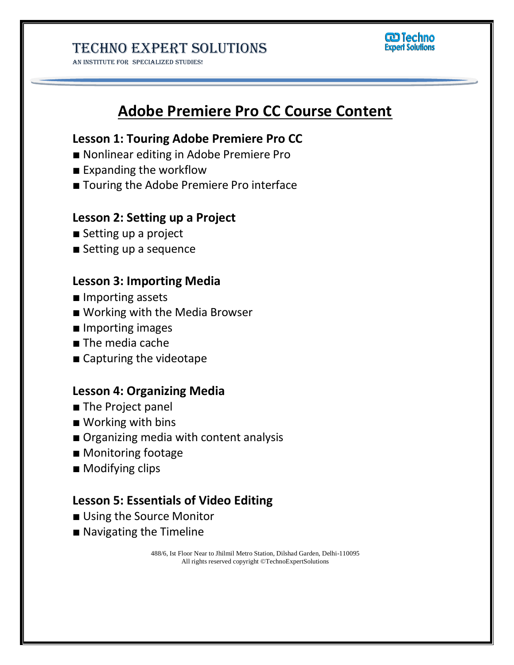AN INSTITUTE FOR SPECIALIZED STUDIES!



# **Adobe Premiere Pro CC Course Content**

## **Lesson 1: Touring Adobe Premiere Pro CC**

- Nonlinear editing in Adobe Premiere Pro
- Expanding the workflow
- Touring the Adobe Premiere Pro interface

### **Lesson 2: Setting up a Project**

- Setting up a project
- Setting up a sequence

#### **Lesson 3: Importing Media**

- Importing assets
- Working with the Media Browser
- Importing images
- The media cache
- Capturing the videotape

## **Lesson 4: Organizing Media**

- The Project panel
- Working with bins
- Organizing media with content analysis
- Monitoring footage
- Modifying clips

#### **Lesson 5: Essentials of Video Editing**

- Using the Source Monitor
- Navigating the Timeline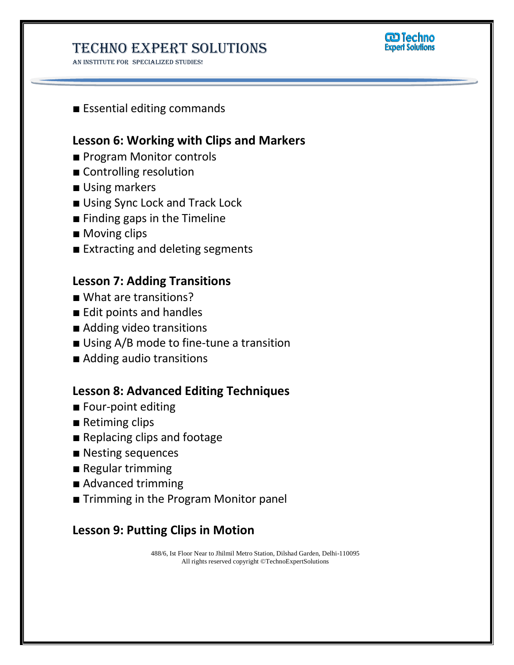AN INSTITUTE FOR SPECIALIZED STUDIES!



■ Essential editing commands

## **Lesson 6: Working with Clips and Markers**

- Program Monitor controls
- Controlling resolution
- Using markers
- Using Sync Lock and Track Lock
- Finding gaps in the Timeline
- Moving clips
- Extracting and deleting segments

## **Lesson 7: Adding Transitions**

- What are transitions?
- Edit points and handles
- Adding video transitions
- Using A/B mode to fine-tune a transition
- Adding audio transitions

## **Lesson 8: Advanced Editing Techniques**

- **■** Four-point editing
- Retiming clips
- Replacing clips and footage
- Nesting sequences
- Regular trimming
- Advanced trimming
- Trimming in the Program Monitor panel

## **Lesson 9: Putting Clips in Motion**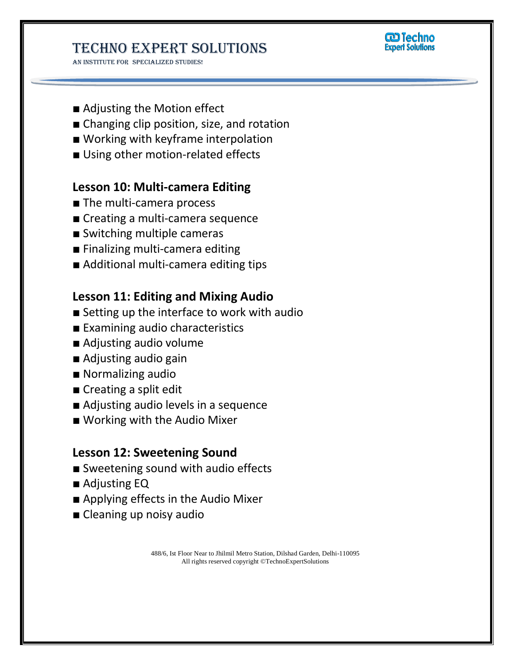AN INSTITUTE FOR SPECIALIZED STUDIES!



- Adjusting the Motion effect
- Changing clip position, size, and rotation
- Working with keyframe interpolation
- Using other motion-related effects

### **Lesson 10: Multi-camera Editing**

- The multi-camera process
- Creating a multi-camera sequence
- Switching multiple cameras
- Finalizing multi-camera editing
- Additional multi-camera editing tips

## **Lesson 11: Editing and Mixing Audio**

- Setting up the interface to work with audio
- Examining audio characteristics
- Adjusting audio volume
- Adjusting audio gain
- Normalizing audio
- Creating a split edit
- Adjusting audio levels in a sequence
- Working with the Audio Mixer

#### **Lesson 12: Sweetening Sound**

- Sweetening sound with audio effects
- Adjusting EQ
- Applying effects in the Audio Mixer
- Cleaning up noisy audio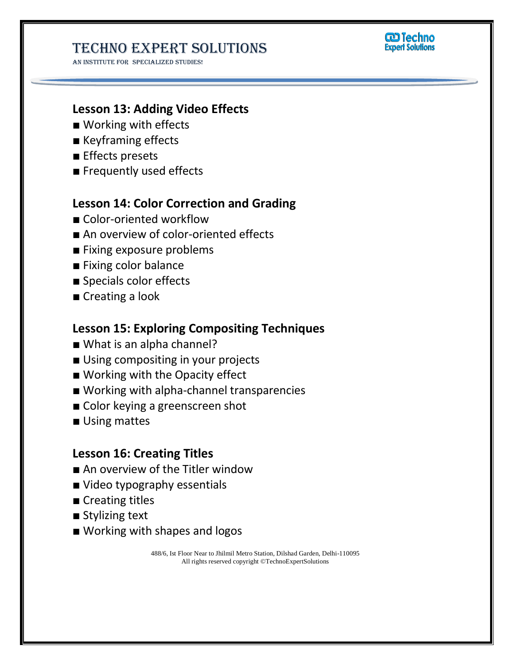AN INSTITUTE FOR SPECIALIZED STUDIES!



## **Lesson 13: Adding Video Effects**

- Working with effects
- Keyframing effects
- Effects presets
- Frequently used effects

## **Lesson 14: Color Correction and Grading**

- Color-oriented workflow
- An overview of color-oriented effects
- Fixing exposure problems
- Fixing color balance
- Specials color effects
- Creating a look

### **Lesson 15: Exploring Compositing Techniques**

- What is an alpha channel?
- Using compositing in your projects
- Working with the Opacity effect
- Working with alpha-channel transparencies
- Color keying a greenscreen shot
- Using mattes

## **Lesson 16: Creating Titles**

- An overview of the Titler window
- Video typography essentials
- Creating titles
- Stylizing text
- Working with shapes and logos